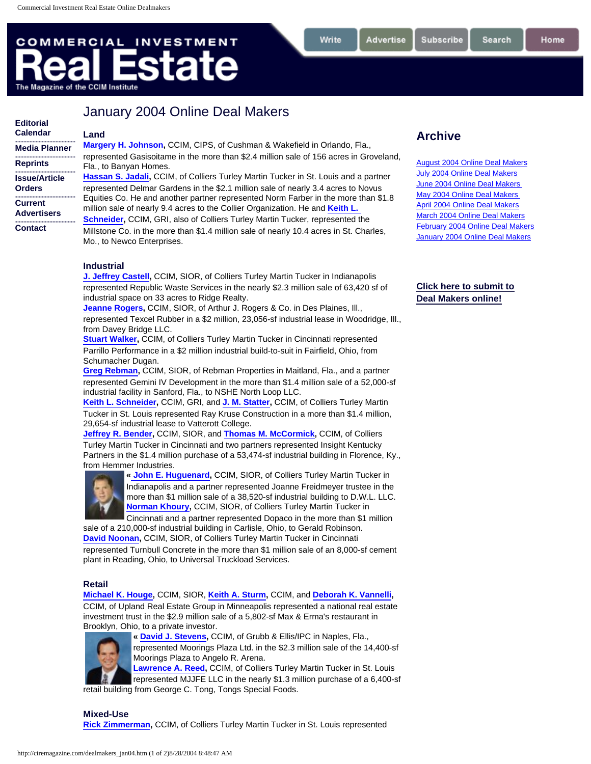**[Editorial](http://ciremagazine.com/2004edcal.htm)** 

# <span id="page-0-0"></span>**COMMERCIAL INVESTMENT state** The Magazine of the CCIM Institute

## January 2004 Online Deal Makers

| <b>Calendar</b>                                       | Land                                                                                                                                                                                                                                                                                                                                            |
|-------------------------------------------------------|-------------------------------------------------------------------------------------------------------------------------------------------------------------------------------------------------------------------------------------------------------------------------------------------------------------------------------------------------|
| <b>Media Planner</b>                                  | <b>Margery H. Johnson, CCIM, CIPS, of Cushman &amp; Wakefield in Orlando, Fla.,</b>                                                                                                                                                                                                                                                             |
| <b>Reprints</b>                                       | represented Gasisoitame in the more than \$2.4 million sale of 156 acres in Groveland,<br>Fla., to Banyan Homes.                                                                                                                                                                                                                                |
| <b>Issue/Article</b>                                  | Hassan S. Jadali, CCIM, of Colliers Turley Martin Tucker in St. Louis and a partner                                                                                                                                                                                                                                                             |
| <b>Orders</b><br><b>Current</b><br><b>Advertisers</b> | represented Delmar Gardens in the \$2.1 million sale of nearly 3.4 acres to Novus<br>Equities Co. He and another partner represented Norm Farber in the more than \$1.8<br>million sale of nearly 9.4 acres to the Collier Organization. He and Keith L.<br><b>Schneider, CCIM, GRI, also of Colliers Turley Martin Tucker, represented the</b> |
| <b>Contact</b>                                        | Millstone Co. in the more than \$1.4 million sale of nearly 10.4 acres in St. Charles,<br>Mo., to Newco Enterprises.                                                                                                                                                                                                                            |

### **Industrial**

**[J. Jeffrey Castell,](http://popeye.cciminstitute.com/rbp/detail_search.asp?member_id=6313824)** CCIM, SIOR, of Colliers Turley Martin Tucker in Indianapolis represented Republic Waste Services in the nearly \$2.3 million sale of 63,420 sf of industrial space on 33 acres to Ridge Realty.

**[Jeanne Rogers](http://popeye.cciminstitute.com/rbp/detail_search.asp?member_id=4642855),** CCIM, SIOR, of Arthur J. Rogers & Co. in Des Plaines, Ill., represented Texcel Rubber in a \$2 million, 23,056-sf industrial lease in Woodridge, Ill., from Davey Bridge LLC.

**[Stuart Walker,](http://popeye.cciminstitute.com/rbp/detail_search.asp?member_id=6420572) CCIM, of Colliers Turley Martin Tucker in Cincinnati represented** Parrillo Performance in a \$2 million industrial build-to-suit in Fairfield, Ohio, from Schumacher Dugan.

**[Greg Rebman,](http://popeye.cciminstitute.com/rbp/detail_search.asp?member_id=6391688)** CCIM, SIOR, of Rebman Properties in Maitland, Fla., and a partner represented Gemini IV Development in the more than \$1.4 million sale of a 52,000-sf industrial facility in Sanford, Fla., to NSHE North Loop LLC.

**[Keith L. Schneider](http://popeye.cciminstitute.com/rbp/detail_search.asp?member_id=6507555),** CCIM, GRI, and **[J. M. Statter,](http://popeye.cciminstitute.com/rbp/detail_search.asp?member_id=6634542)** CCIM, of Colliers Turley Martin Tucker in St. Louis represented Ray Kruse Construction in a more than \$1.4 million, 29,654-sf industrial lease to Vatterott College.

**[Jeffrey R. Bender,](http://popeye.cciminstitute.com/rbp/detail_search.asp?member_id=6604807)** CCIM, SIOR, and **[Thomas M. McCormick](http://popeye.cciminstitute.com/rbp/detail_search.asp?member_id=6473618),** CCIM, of Colliers Turley Martin Tucker in Cincinnati and two partners represented Insight Kentucky Partners in the \$1.4 million purchase of a 53,474-sf industrial building in Florence, Ky., from Hemmer Industries.



**« [John E. Huguenard](http://popeye.cciminstitute.com/rbp/detail_search.asp?member_id=6348331),** CCIM, SIOR, of Colliers Turley Martin Tucker in Indianapolis and a partner represented Joanne Freidmeyer trustee in the more than \$1 million sale of a 38,520-sf industrial building to D.W.L. LLC. **[Norman Khoury](http://popeye.cciminstitute.com/rbp/detail_search.asp?member_id=6437076),** CCIM, SIOR, of Colliers Turley Martin Tucker in

Cincinnati and a partner represented Dopaco in the more than \$1 million sale of a 210,000-sf industrial building in Carlisle, Ohio, to Gerald Robinson.

**[David Noonan](http://popeye.cciminstitute.com/rbp/detail_search.asp?member_id=6496723),** CCIM, SIOR, of Colliers Turley Martin Tucker in Cincinnati represented Turnbull Concrete in the more than \$1 million sale of an 8,000-sf cement plant in Reading, Ohio, to Universal Truckload Services.

### **Retail**

**[Michael K. Houge](http://popeye.cciminstitute.com/rbp/detail_search.asp?member_id=6445364),** CCIM, SIOR, **[Keith A. Sturm,](http://popeye.cciminstitute.com/rbp/detail_search.asp?member_id=6314067)** CCIM, and **[Deborah K. Vannelli,](http://popeye.cciminstitute.com/rbp/detail_search.asp?member_id=6620007)**  CCIM, of Upland Real Estate Group in Minneapolis represented a national real estate investment trust in the \$2.9 million sale of a 5,802-sf Max & Erma's restaurant in Brooklyn, Ohio, to a private investor.



**« [David J. Stevens,](http://popeye.cciminstitute.com/rbp/detail_search.asp?member_id=6215767)** CCIM, of Grubb & Ellis/IPC in Naples, Fla.,

represented Moorings Plaza Ltd. in the \$2.3 million sale of the 14,400-sf Moorings Plaza to Angelo R. Arena.

**[Lawrence A. Reed](http://popeye.cciminstitute.com/rbp/detail_search.asp?member_id=6210916),** CCIM, of Colliers Turley Martin Tucker in St. Louis represented MJJFE LLC in the nearly \$1.3 million purchase of a 6,400-sf retail building from George C. Tong, Tongs Special Foods.

**Mixed-Use [Rick Zimmerman,](http://popeye.cciminstitute.com/rbp/detail_search.asp?member_id=6629875)** CCIM, of Colliers Turley Martin Tucker in St. Louis represented

### **Archive**

Subscribe

Write

Advertise

[August 2004 Online Deal Makers](http://ciremagazine.com/dealmakers_aug04.htm) [July 2004 Online Deal Makers](http://ciremagazine.com/dealmakers_Jul04.htm) [June 2004 Online Deal Makers](http://ciremagazine.com/dealmakers_Jun04.htm) [May 2004 Online Deal Makers](http://ciremagazine.com/dealmakers_May04.htm) [April 2004 Online Deal Makers](http://ciremagazine.com/dealmakers_apr04.htm) [March 2004 Online Deal Makers](http://ciremagazine.com/dealmakers_mar04.htm) [February 2004 Online Deal Makers](http://ciremagazine.com/dealmakers_feb04.htm) [January 2004 Online Deal Makers](#page-0-0)

### **[Click here to submit to](http://ciremagazine.com/dealmakers.html) [Deal Makers online!](http://ciremagazine.com/dealmakers.html)**

Search